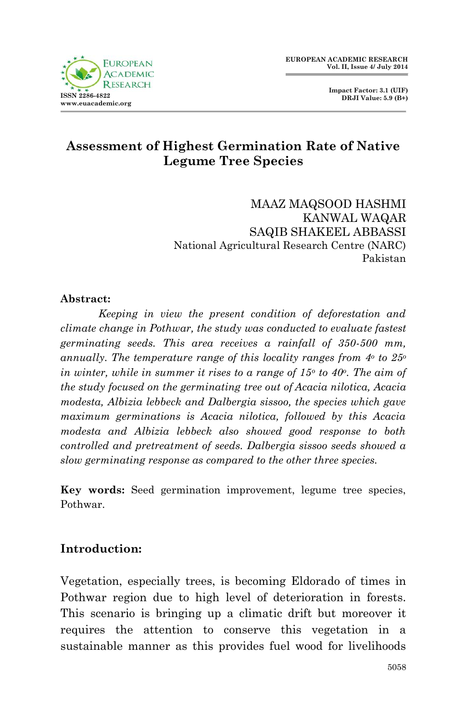



# **Assessment of Highest Germination Rate of Native Legume Tree Species**

MAAZ MAQSOOD HASHMI KANWAL WAQAR SAQIB SHAKEEL ABBASSI National Agricultural Research Centre (NARC) Pakistan

### **Abstract:**

*Keeping in view the present condition of deforestation and climate change in Pothwar, the study was conducted to evaluate fastest germinating seeds. This area receives a rainfall of 350-500 mm, annually. The temperature range of this locality ranges from 4<sup>o</sup> to 25<sup>o</sup> in winter, while in summer it rises to a range of 15<sup>o</sup> to 40<sup>o</sup> . The aim of the study focused on the germinating tree out of Acacia nilotica, Acacia modesta, Albizia lebbeck and Dalbergia sissoo, the species which gave maximum germinations is Acacia nilotica, followed by this Acacia modesta and Albizia lebbeck also showed good response to both controlled and pretreatment of seeds. Dalbergia sissoo seeds showed a slow germinating response as compared to the other three species.*

**Key words:** Seed germination improvement, legume tree species, Pothwar.

## **Introduction:**

Vegetation, especially trees, is becoming Eldorado of times in Pothwar region due to high level of deterioration in forests. This scenario is bringing up a climatic drift but moreover it requires the attention to conserve this vegetation in a sustainable manner as this provides fuel wood for livelihoods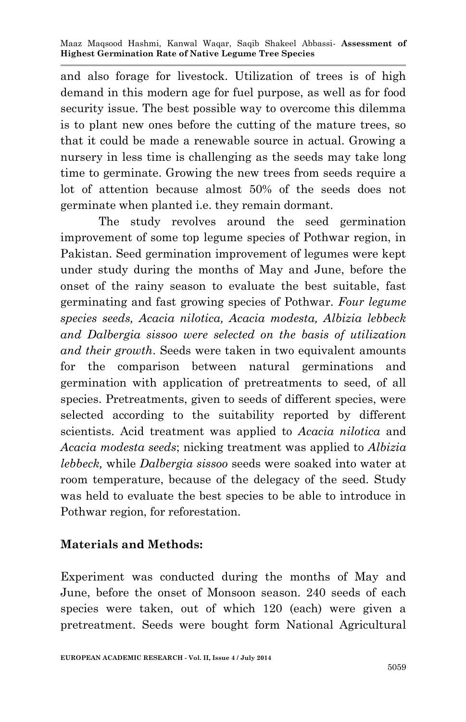and also forage for livestock. Utilization of trees is of high demand in this modern age for fuel purpose, as well as for food security issue. The best possible way to overcome this dilemma is to plant new ones before the cutting of the mature trees, so that it could be made a renewable source in actual. Growing a nursery in less time is challenging as the seeds may take long time to germinate. Growing the new trees from seeds require a lot of attention because almost 50% of the seeds does not germinate when planted i.e. they remain dormant.

The study revolves around the seed germination improvement of some top legume species of Pothwar region, in Pakistan. Seed germination improvement of legumes were kept under study during the months of May and June, before the onset of the rainy season to evaluate the best suitable, fast germinating and fast growing species of Pothwar. *Four legume species seeds, Acacia nilotica, Acacia modesta, Albizia lebbeck and Dalbergia sissoo were selected on the basis of utilization and their growth*. Seeds were taken in two equivalent amounts for the comparison between natural germinations and germination with application of pretreatments to seed, of all species. Pretreatments, given to seeds of different species, were selected according to the suitability reported by different scientists. Acid treatment was applied to *Acacia nilotica* and *Acacia modesta seeds*; nicking treatment was applied to *Albizia lebbeck,* while *Dalbergia sissoo* seeds were soaked into water at room temperature, because of the delegacy of the seed. Study was held to evaluate the best species to be able to introduce in Pothwar region, for reforestation.

## **Materials and Methods:**

Experiment was conducted during the months of May and June, before the onset of Monsoon season. 240 seeds of each species were taken, out of which 120 (each) were given a pretreatment. Seeds were bought form National Agricultural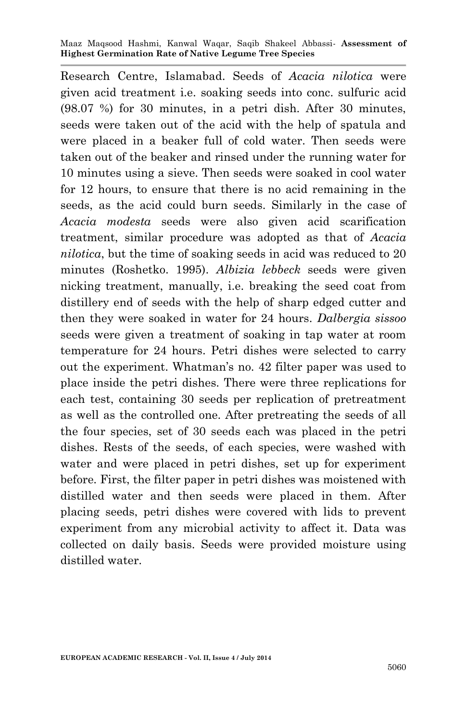Maaz Maqsood Hashmi, Kanwal Waqar, Saqib Shakeel Abbassi*-* **Assessment of Highest Germination Rate of Native Legume Tree Species**

Research Centre, Islamabad. Seeds of *Acacia nilotica* were given acid treatment i.e. soaking seeds into conc. sulfuric acid (98.07 %) for 30 minutes, in a petri dish. After 30 minutes, seeds were taken out of the acid with the help of spatula and were placed in a beaker full of cold water. Then seeds were taken out of the beaker and rinsed under the running water for 10 minutes using a sieve. Then seeds were soaked in cool water for 12 hours, to ensure that there is no acid remaining in the seeds, as the acid could burn seeds. Similarly in the case of *Acacia modesta* seeds were also given acid scarification treatment, similar procedure was adopted as that of *Acacia nilotica*, but the time of soaking seeds in acid was reduced to 20 minutes (Roshetko. 1995). *Albizia lebbeck* seeds were given nicking treatment, manually, i.e. breaking the seed coat from distillery end of seeds with the help of sharp edged cutter and then they were soaked in water for 24 hours. *Dalbergia sissoo*  seeds were given a treatment of soaking in tap water at room temperature for 24 hours. Petri dishes were selected to carry out the experiment. Whatman's no. 42 filter paper was used to place inside the petri dishes. There were three replications for each test, containing 30 seeds per replication of pretreatment as well as the controlled one. After pretreating the seeds of all the four species, set of 30 seeds each was placed in the petri dishes. Rests of the seeds, of each species, were washed with water and were placed in petri dishes, set up for experiment before. First, the filter paper in petri dishes was moistened with distilled water and then seeds were placed in them. After placing seeds, petri dishes were covered with lids to prevent experiment from any microbial activity to affect it. Data was collected on daily basis. Seeds were provided moisture using distilled water.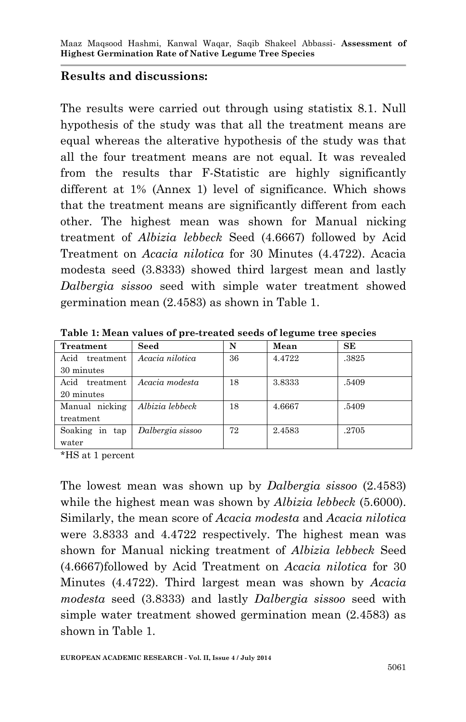## **Results and discussions:**

The results were carried out through using statistix 8.1. Null hypothesis of the study was that all the treatment means are equal whereas the alterative hypothesis of the study was that all the four treatment means are not equal. It was revealed from the results thar F-Statistic are highly significantly different at 1% (Annex 1) level of significance. Which shows that the treatment means are significantly different from each other. The highest mean was shown for Manual nicking treatment of *Albizia lebbeck* Seed (4.6667) followed by Acid Treatment on *Acacia nilotica* for 30 Minutes (4.4722). Acacia modesta seed (3.8333) showed third largest mean and lastly *Dalbergia sissoo* seed with simple water treatment showed germination mean (2.4583) as shown in Table 1.

| Treatment         | Seed             | N  | Mean   | <b>SE</b> |
|-------------------|------------------|----|--------|-----------|
| Acid<br>treatment | Acacia nilotica  | 36 | 4.4722 | .3825     |
| 30 minutes        |                  |    |        |           |
| Acid<br>treatment | Acacia modesta   | 18 | 3.8333 | .5409     |
| 20 minutes        |                  |    |        |           |
| Manual nicking    | Albizia lebbeck  | 18 | 4.6667 | .5409     |
| treatment         |                  |    |        |           |
| Soaking in tap    | Dalbergia sissoo | 72 | 2.4583 | .2705     |
| water             |                  |    |        |           |

**Table 1: Mean values of pre-treated seeds of legume tree species**

\*HS at 1 percent

The lowest mean was shown up by *Dalbergia sissoo* (2.4583) while the highest mean was shown by *Albizia lebbeck* (5.6000). Similarly, the mean score of *Acacia modesta* and *Acacia nilotica* were 3.8333 and 4.4722 respectively. The highest mean was shown for Manual nicking treatment of *Albizia lebbeck* Seed (4.6667)followed by Acid Treatment on *Acacia nilotica* for 30 Minutes (4.4722). Third largest mean was shown by *Acacia modesta* seed (3.8333) and lastly *Dalbergia sissoo* seed with simple water treatment showed germination mean (2.4583) as shown in Table 1.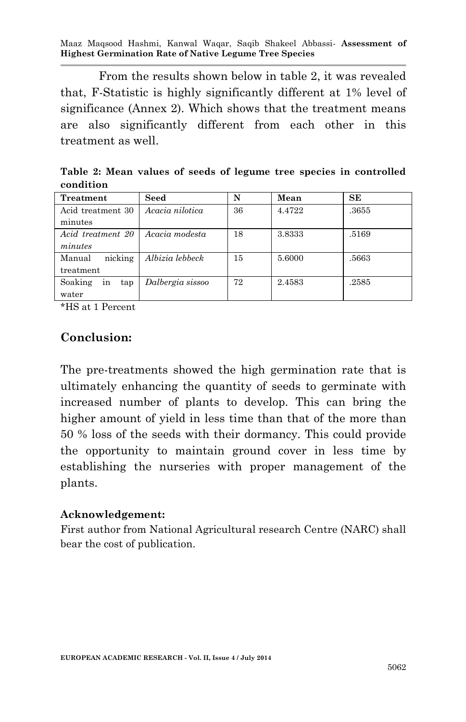Maaz Maqsood Hashmi, Kanwal Waqar, Saqib Shakeel Abbassi*-* **Assessment of Highest Germination Rate of Native Legume Tree Species**

From the results shown below in table 2, it was revealed that, F-Statistic is highly significantly different at 1% level of significance (Annex 2). Which shows that the treatment means are also significantly different from each other in this treatment as well.

| .                    |                  |    |        |       |
|----------------------|------------------|----|--------|-------|
| Treatment            | Seed             | N  | Mean   | SE    |
| Acid treatment 30    | Acacia nilotica  | 36 | 4.4722 | .3655 |
| minutes              |                  |    |        |       |
| Acid treatment 20    | Acacia modesta   | 18 | 3.8333 | .5169 |
| minutes              |                  |    |        |       |
| nicking<br>Manual    | Albizia lebbeck  | 15 | 5.6000 | .5663 |
| treatment            |                  |    |        |       |
| Soaking<br>tap<br>in | Dalbergia sissoo | 72 | 2.4583 | .2585 |
| water                |                  |    |        |       |

**Table 2: Mean values of seeds of legume tree species in controlled condition**

\*HS at 1 Percent

## **Conclusion:**

The pre-treatments showed the high germination rate that is ultimately enhancing the quantity of seeds to germinate with increased number of plants to develop. This can bring the higher amount of yield in less time than that of the more than 50 % loss of the seeds with their dormancy. This could provide the opportunity to maintain ground cover in less time by establishing the nurseries with proper management of the plants.

#### **Acknowledgement:**

First author from National Agricultural research Centre (NARC) shall bear the cost of publication.